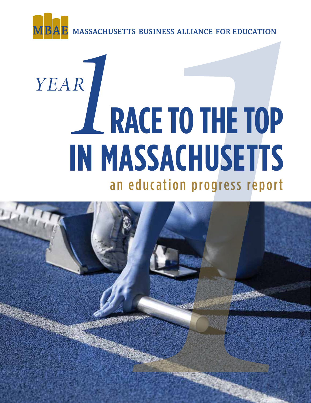

# **RACE TO THE TOP IN MASSACHUSETTS** an education progress report AR <br>M N *year*

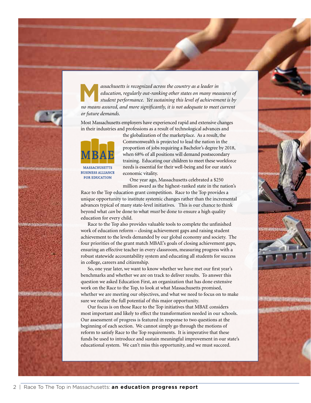**M**<br>**M** assachusetts is recognized across the country as a leader in education, regularly out-ranking other states on many measures of student performance. Yet sustaining this level of achievement is by *education, regularly out-ranking other states on many measures of no means assured, and more significantly, it is not adequate to meet current or future demands.* 

Most Massachusetts employers have experienced rapid and extensive changes in their industries and professions as a result of technological advances and



**MASSACHUSETTS BUSINESS ALLIANCE FOR EDUCATION** 

the globalization of the marketplace. As a result, the Commonwealth is projected to lead the nation in the proportion of jobs requiring a Bachelor's degree by 2018, when 68% of all positions will demand postsecondary training. Educating our children to meet these workforce needs is essential for their well-being and for our state's economic vitality.

One year ago, Massachusetts celebrated a \$250 million award as the highest-ranked state in the nation's

Race to the Top education grant competition. Race to the Top provides a unique opportunity to institute systemic changes rather than the incremental advances typical of many state-level initiatives. This is our chance to think beyond what *can* be done to what *must* be done to ensure a high quality education for every child.

Race to the Top also provides valuable tools to complete the unfinished work of education reform – closing achievement gaps and raising student achievement to the levels demanded by our global economy and society. The four priorities of the grant match MBAE's goals of closing achievement gaps, ensuring an effective teacher in every classroom, measuring progress with a robust statewide accountability system and educating all students for success in college, careers and citizenship.

So, one year later, we want to know whether we have met our first year's benchmarks and whether we are on track to deliver results. To answer this question we asked Education First, an organization that has done extensive work on the Race to the Top, to look at what Massachusetts promised, whether we are meeting our objectives, and what we need to focus on to make sure we realize the full potential of this major opportunity.

Our focus is on those Race to the Top initiatives that MBAE considers most important and likely to effect the transformation needed in our schools. Our assessment of progress is featured in response to two questions at the beginning of each section. We cannot simply go through the motions of reform to satisfy Race to the Top requirements. It is imperative that these funds be used to introduce and sustain meaningful improvement in our state's educational system. We can't miss this opportunity, and we must succeed.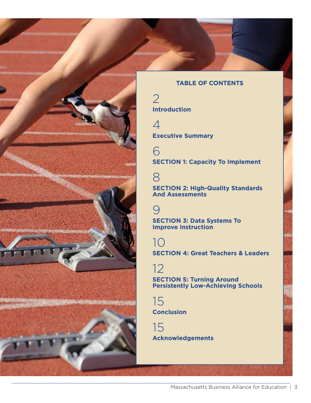

### **TABLE OF CONTENTS**

2 **Introduction**

4 **Executive Summary**

6 **SECTION 1: Capacity To Implement** 

8 **Section 2: High-Quality Standards And Assessments**

9 **Section 3: Data Systems To Improve Instruction**

10 **Section 4: Great Teachers & Leaders**

12 **SECTION 5: Turning Around Persistently Low-Achieving Schools**

15 **Conclusion**

15 **Acknowledgements**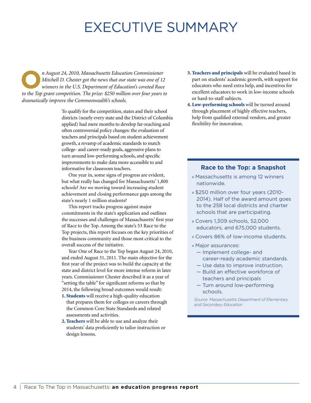## EXECUTIVE SUMMARY

*n August 24, 2010, Massachusetts Education Commissioner Mitchell D. Chester got the news that our state was one of 12 winners in the U.S. Department of Education's coveted Race Mitchell D. Chester got the news that our state was one of 12 to the Top grant competition. The prize: \$250 million over four years to dramatically improve the Commonwealth's schools.*

> To qualify for the competition, states and their school districts (nearly every state and the District of Columbia applied) had mere months to develop far-reaching and often controversial policy changes: the evaluation of teachers and principals based on student achievement growth, a revamp of academic standards to match college- and career-ready goals, aggressive plans to turn around low-performing schools, and specific improvements to make data more accessible to and informative for classroom teachers.

> One year in, some signs of progress are evident, but what really has changed for Massachusetts' 1,800 schools? Are we moving toward increasing student achievement and closing performance gaps among the state's nearly 1 million students?

This report tracks progress against major commitments in the state's application and outlines the successes and challenges of Massachusetts' first year of Race to the Top. Among the state's 53 Race to the Top projects, this report focuses on the key priorities of the business community and those most critical to the overall success of the initiative.

Year One of Race to the Top began August 24, 2010, and ended August 31, 2011. The main objective for the first year of the project was to build the capacity at the state and district level for more intense reform in later years. Commissioner Chester described it as a year of "setting the table" for significant reforms so that by 2014, the following broad outcomes would result:

- 1. Students will receive a high-quality education that prepares them for colleges or careers through the Common Core State Standards and related assessments and activities.
- 2. Teachers will be able to use and analyze their students' data proficiently to tailor instruction or design lessons.
- 3. Teachers and principals will be evaluated based in part on students' academic growth, with support for educators who need extra help, and incentives for excellent educators to work in low-income schools or hard-to-staff subjects.
- 4. Low-performing schools will be turned around through placement of highly effective teachers, help from qualified external vendors, and greater flexibility for innovation.

### **Race to the Top: a Snapshot**

- » Massachusetts is among 12 winners nationwide.
- » \$250 million over four years (2010- 2014). Half of the award amount goes to the 258 local districts and charter schools that are participating.
- » Covers 1,309 schools, 52,000 educators, and 675,000 students.
- » Covers 86% of low-income students.
- » Major assurances:
	- Implement college- and career-ready academic standards.
	- Use data to improve instruction.
	- Build an effective workforce of teachers and principals
	- Turn around low-performing schools.

*Source: Massachusetts Department of Elementary and Secondary Education*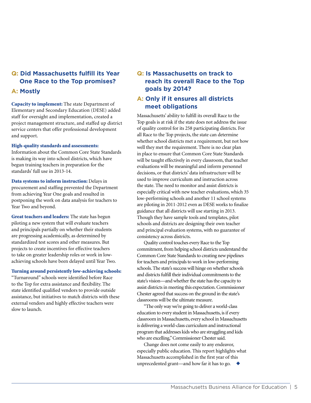### **Q: Did Massachusetts fulfill its Year One Race to the Top promises?**

### **A: Mostly**

Capacity to implement: The state Department of Elementary and Secondary Education (DESE) added staff for oversight and implementation, created a project management structure, and staffed up district service centers that offer professional development and support.

### High-quality standards and assessments:

Information about the Common Core State Standards is making its way into school districts, which have begun training teachers in preparation for the standards' full use in 2013-14.

Data systems to inform instruction: Delays in procurement and staffing prevented the Department from achieving Year One goals and resulted in postponing the work on data analysis for teachers to Year Two and beyond.

Great teachers and leaders: The state has begun piloting a new system that will evaluate teachers and principals partially on whether their students are progressing academically, as determined by standardized test scores and other measures. But projects to create incentives for effective teachers to take on greater leadership roles or work in lowachieving schools have been delayed until Year Two.

### Turning around persistently low-achieving schools:

"Turnaround" schools were identified before Race to the Top for extra assistance and flexibility. The state identified qualified vendors to provide outside assistance, but initiatives to match districts with these external vendors and highly effective teachers were slow to launch.

### **Q: Is Massachusetts on track to reach its overall Race to the Top goals by 2014?**

### **A: Only if it ensures all districts meet obligations**

Massachusetts' ability to fulfill its overall Race to the Top goals is at risk if the state does not address the issue of quality control for its 258 participating districts. For all Race to the Top projects, the state can determine whether school districts met a requirement, but not how well they met the requirement. There is no clear plan in place to ensure that Common Core State Standards will be taught effectively in every classroom, that teacher evaluations will be meaningful and inform personnel decisions, or that districts' data infrastructure will be used to improve curriculum and instruction across the state. The need to monitor and assist districts is especially critical with new teacher evaluations, which 35 low-performing schools and another 11 school systems are piloting in 2011-2012 even as DESE works to finalize guidance that all districts will use starting in 2013. Though they have sample tools and templates, pilot schools and districts are designing their own teacher and principal evaluation systems, with no guarantee of consistency across districts.

Quality control touches every Race to the Top commitment, from helping school districts understand the Common Core State Standards to creating new pipelines for teachers and principals to work in low-performing schools. The state's success will hinge on whether schools and districts fulfill their individual commitments to the state's vision—and whether the state has the capacity to assist districts in meeting this expectation. Commissioner Chester agreed that success on the ground in the state's classrooms will be the ultimate measure.

"The only way we're going to deliver a world-class education to every student in Massachusetts, is if every classroom in Massachusetts, every school in Massachusetts is delivering a world-class curriculum and instructional program that addresses kids who are struggling and kids who are excelling," Commissioner Chester said.

Change does not come easily to any endeavor, especially public education. This report highlights what Massachusetts accomplished in the first year of this unprecedented grant—and how far it has to go.  $\blacklozenge$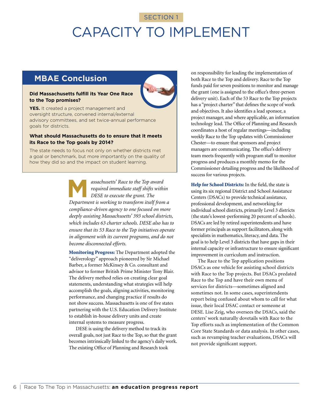# CAPACITY TO IMPLEMENT

### **MBAE Conclusion**

### **Did Massachusetts fulfill its Year One Race to the Top promises?**

**Yes.** It created a project management and oversight structure, convened internal/external advisory committees, and set twice-annual performance goals for districts.

#### **What should Massachusetts do to ensure that it meets its Race to the Top goals by 2014?**

The state needs to focus not only on whether districts met a goal or benchmark, but more importantly on the quality of how they did so and the impact on student learning.

> **Massachusetts' Race to the Top award required immediate staff shifts with:**<br>DESE to execute the grant. The *required immediate staff shifts within DESE to execute the grant. The Department is working to transform itself from a compliance-driven agency to one focused on more deeply assisting Massachusetts' 393 school districts, which includes 63 charter schools. DESE also has to ensure that its 53 Race to the Top initiatives operate in alignment with its current programs, and do not become disconnected efforts.*

Monitoring Progress: The Department adopted the "deliverology" approach pioneered by Sir Michael Barber, a former McKinsey & Co. consultant and advisor to former British Prime Minister Tony Blair. The delivery method relies on creating clear goal statements, understanding what strategies will help accomplish the goals, aligning activities, monitoring performance, and changing practice if results do not show success. Massachusetts is one of five states partnering with the U.S. Education Delivery Institute to establish in-house delivery units and create internal systems to measure progress.

DESE is using the delivery method to track its overall goals, not just Race to the Top, so that the grant becomes intrinsically linked to the agency's daily work. The existing Office of Planning and Research took

on responsibility for leading the implementation of both Race to the Top and delivery. Race to the Top funds paid for seven positions to monitor and manage the grant (one is assigned to the office's three-person delivery unit). Each of the 53 Race to the Top projects has a "project charter" that defines the scope of work and objectives. It also identifies a lead sponsor, a project manager, and where applicable, an information technology lead. The Office of Planning and Research coordinates a host of regular meetings—including weekly Race to the Top updates with Commissioner Chester—to ensure that sponsors and project managers are communicating. The office's delivery team meets frequently with program staff to monitor progress and produces a monthly memo for the Commissioner detailing progress and the likelihood of success for various projects.

Help for School Districts: In the field, the state is using its six regional District and School Assistance Centers (DSACs) to provide technical assistance, professional development, and networking for individual school districts, primarily Level 3 districts (the state's lowest-performing 20 percent of schools). DSACs are led by retired superintendents and have former principals as support facilitators, along with specialists in mathematics, literacy, and data. The goal is to help Level 3 districts that have gaps in their internal capacity or infrastructure to ensure significant improvement in curriculum and instruction.

The Race to the Top application positions DSACs as one vehicle for assisting school districts with Race to the Top projects. But DSACs predated Race to the Top and have their own menu of services for districts—sometimes aligned and sometimes not. In some cases, superintendents report being confused about whom to call for what issue, their local DSAC contact or someone at DESE. Lise Zeig, who oversees the DSACs, said the centers' work naturally dovetails with Race to the Top efforts such as implementation of the Common Core State Standards or data analysis. In other cases, such as revamping teacher evaluations, DSACs will not provide significant support.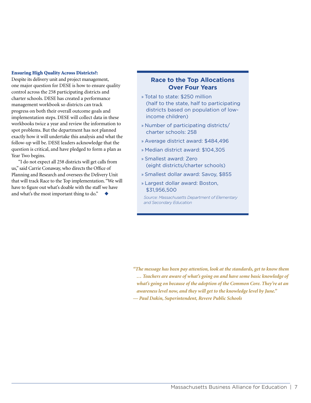#### Ensuring High Quality Across Districts?:

Despite its delivery unit and project management, one major question for DESE is how to ensure quality control across the 258 participating districts and charter schools. DESE has created a performance management workbook so districts can track progress on both their overall outcome goals and implementation steps. DESE will collect data in these workbooks twice a year and review the information to spot problems. But the department has not planned exactly how it will undertake this analysis and what the follow-up will be. DESE leaders acknowledge that the question is critical, and have pledged to form a plan as Year Two begins.

"I do not expect all 258 districts will get calls from us," said Carrie Conaway, who directs the Office of Planning and Research and oversees the Delivery Unit that will track Race to the Top implementation. "We will have to figure out what's doable with the staff we have and what's the most important thing to do."

### **Race to the Top Allocations Over Four Years**

- » Total to state: \$250 million (half to the state, half to participating districts based on population of lowincome children)
- » Number of participating districts/ charter schools: 258
- » Average district award: \$484,496
- » Median district award: \$104,305
- » Smallest award: Zero (eight districts/charter schools)
- » Smallest dollar award: Savoy, \$855
- » Largest dollar award: Boston, \$31,956,500

*Source: Massachusetts Department of Elementary and Secondary Education* 

*"The message has been pay attention, look at the standards, get to know them … Teachers are aware of what's going on and have some basic knowledge of what's going on because of the adoption of the Common Core. They're at an awareness level now, and they will get to the knowledge level by June." — Paul Dakin, Superintendent, Revere Public Schools*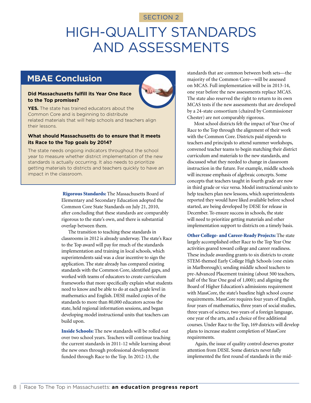# HIGH-QUALITY STANDARDS AND ASSESSMENTS

### **MBAE Conclusion**

### **Did Massachusetts fulfill its Year One Race to the Top promises?**

**Yes.** The state has trained educators about the Common Core and is beginning to distribute related materials that will help schools and teachers align their lessons.

#### **What should Massachusetts do to ensure that it meets its Race to the Top goals by 2014?**

The state needs ongoing indicators throughout the school year to measure whether district implementation of the new standards is actually occurring. It also needs to prioritize getting materials to districts and teachers quickly to have an impact in the classroom.

> Rigorous Standards: The Massachusetts Board of Elementary and Secondary Education adopted the Common Core State Standards on July 21, 2010, after concluding that these standards are comparably rigorous to the state's own, and there is substantial overlap between them.

The transition to teaching these standards in classrooms in 2012 is already underway. The state's Race to the Top award will pay for much of the standards implementation and training in local schools, which superintendents said was a clear incentive to sign the application. The state already has compared existing standards with the Common Core, identified gaps, and worked with teams of educators to create curriculum frameworks that more specifically explain what students need to know and be able to do at each grade level in mathematics and English. DESE mailed copies of the standards to more than 80,000 educators across the state, held regional information sessions, and began developing model instructional units that teachers can build upon.

Inside Schools: The new standards will be rolled out over two school years. Teachers will continue teaching the current standards in 2011-12 while learning about the new ones through professional development funded through Race to the Top. In 2012-13, the

standards that are common between both sets—the majority of the Common Core—will be assessed on MCAS. Full implementation will be in 2013-14, one year before the new assessments replace MCAS. The state also reserved the right to return to its own MCAS tests if the new assessments that are developed by a 24-state consortium (chaired by Commissioner Chester) are not comparably rigorous.

Most school districts felt the impact of Year One of Race to the Top through the alignment of their work with the Common Core. Districts paid stipends to teachers and principals to attend summer workshops, convened teacher teams to begin matching their district curriculum and materials to the new standards, and discussed what they needed to change in classroom instruction in the future. For example, middle schools will increase emphasis of algebraic concepts. Some concepts that teachers taught in fourth grade are now in third grade or vice versa. Model instructional units to help teachers plan new lessons, which superintendents reported they would have liked available before school started, are being developed by DESE for release in December. To ensure success in schools, the state will need to prioritize getting materials and other implementation support to districts on a timely basis.

Other College- and Career-Ready Projects: The state largely accomplished other Race to the Top Year One activities geared toward college and career readiness. These include awarding grants to six districts to create STEM-themed Early College High Schools (one exists in Marlborough); sending middle school teachers to pre-Advanced Placement training (about 500 teachers, half of the Year One goal of 1,000); and aligning the Board of Higher Education's admissions requirement with MassCore, the state's baseline high school course requirements. MassCore requires four years of English, four years of mathematics, three years of social studies, three years of science, two years of a foreign language, one year of the arts, and a choice of five additional courses. Under Race to the Top, 169 districts will develop plans to increase student completion of MassCore requirements.

 Again, the issue of quality control deserves greater attention from DESE. Some districts never fully implemented the first round of standards in the mid-

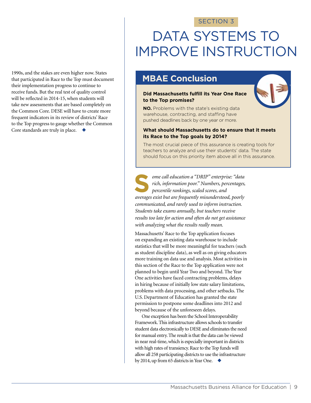### DATA SYSTEMS TO IMPROVE INSTRUCTION

### **MBAE Conclusion**

### **Did Massachusetts fulfill its Year One Race to the Top promises?**



**NO.** Problems with the state's existing data warehouse, contracting, and staffing have pushed deadlines back by one year or more.

### **What should Massachusetts do to ensure that it meets its Race to the Top goals by 2014?**

The most crucial piece of this assurance is creating tools for teachers to analyze and use their students' data. The state should focus on this priority item above all in this assurance.

**S**<br>**S** *ome call education a "DRIP" enterprise: "data rich, information poor." Numbers, percentages, percentile rankings, scaled scores, and rich, information poor." Numbers, percentages, percentile rankings, scaled scores, and averages exist but are frequently misunderstood, poorly communicated, and rarely used to inform instruction. Students take exams annually, but teachers receive results too late for action and often do not get assistance with analyzing what the results really mean.*

Massachusetts' Race to the Top application focuses on expanding an existing data warehouse to include statistics that will be more meaningful for teachers (such as student discipline data), as well as on giving educators more training on data use and analysis. Most activities in this section of the Race to the Top application were not planned to begin until Year Two and beyond. The Year One activities have faced contracting problems, delays in hiring because of initially low state salary limitations, problems with data processing, and other setbacks. The U.S. Department of Education has granted the state permission to postpone some deadlines into 2012 and beyond because of the unforeseen delays.

One exception has been the School Interoperability Framework. This infrastructure allows schools to transfer student data electronically to DESE and eliminates the need for manual entry. The result is that the data can be viewed in near real-time, which is especially important in districts with high rates of transiency. Race to the Top funds will allow all 258 participating districts to use the infrastructure by 2014, up from 65 districts in Year One.  $\blacklozenge$ 

1990s, and the stakes are even higher now. States that participated in Race to the Top must document their implementation progress to continue to receive funds. But the real test of quality control will be reflected in 2014-15, when students will take new assessments that are based completely on the Common Core. DESE will have to create more frequent indicators in its review of districts' Race to the Top progress to gauge whether the Common Core standards are truly in place.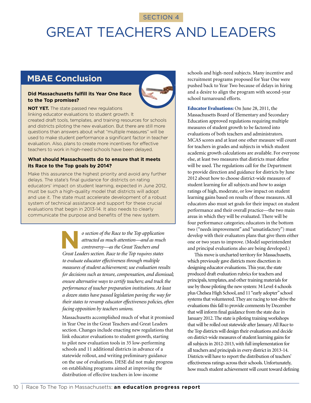# GREAT TEACHERS AND LEADERS

### **MBAE Conclusion**

### **Did Massachusetts fulfill its Year One Race to the Top promises?**



**NOT YET.** The state passed new regulations linking educator evaluations to student growth. It created draft tools, templates, and training resources for schools and districts piloting the new evaluation. But there are still more questions than answers about what "multiple measures" will be used to make student performance a significant factor in teacher evaluation. Also, plans to create more incentives for effective teachers to work in high-need schools have been delayed.

### **What should Massachusetts do to ensure that it meets its Race to the Top goals by 2014?**

Make this assurance the highest priority and avoid any further delays. The state's final guidance for districts on rating educators' impact on student learning, expected in June 2012, must be such a high-quality model that districts will adopt and use it. The state must accelerate development of a robust system of technical assistance and support for these crucial evaluations that begin in 2013-14. It also needs to clearly communicate the purpose and benefits of the new system.

> **N***o section of the Race to the Top application attracted as much attention—and as much controversy—as the Great Teachers and Great Leaders section. Race to the Top requires states to evaluate educator effectiveness through multiple measures of student achievement; use evaluation results for decisions such as tenure, compensation, and dismissal; ensure alternative ways to certify teachers; and track the performance of teacher preparation institutions. At least a dozen states have passed legislation paving the way for their states to revamp educator effectiveness policies, often facing opposition by teachers unions.*

> Massachusetts accomplished much of what it promised in Year One in the Great Teachers and Great Leaders section. Changes include enacting new regulations that link educator evaluations to student growth, starting to pilot new evaluation tools in 35 low-performing schools and 11 additional districts in advance of a statewide rollout, and writing preliminary guidance on the use of evaluations. DESE did not make progress on establishing programs aimed at improving the distribution of effective teachers in low-income

schools and high-need subjects. Many incentive and recruitment programs proposed for Year One were pushed back to Year Two because of delays in hiring and a desire to align the program with second-year school turnaround efforts.

Educator Evaluations: On June 28, 2011, the Massachusetts Board of Elementary and Secondary Education approved regulations requiring multiple measures of student growth to be factored into evaluations of both teachers and administrators. MCAS scores and at least one other measure will count for teachers in grades and subjects in which student academic growth calculations are available. For everyone else, at least two measures that districts must define will be used. The regulations call for the Department to provide direction and guidance for districts by June 2012 about how to choose district-wide measures of student learning for all subjects and how to assign ratings of high, moderate, or low impact on student learning gains based on results of those measures. All educators also must set goals for their impact on student performance and their overall practice—the two main areas in which they will be evaluated. There will be four performance categories; educators in the bottom two ("needs improvement" and "unsatisfactory") must develop with their evaluators plans that give them either one or two years to improve. (Model superintendent and principal evaluations also are being developed.)

This move is uncharted territory for Massachusetts, which previously gave districts more discretion in designing educator evaluations. This year, the state produced draft evaluation rubrics for teachers and principals, templates, and other training materials for use by those piloting the new system: 34 Level 4 schools plus Chelsea High School, and 11 "early adopter" school systems that volunteered. They are racing to test-drive the evaluations this fall to provide comments by December that will inform final guidance from the state due in January 2012. The state is piloting training workshops that will be rolled out statewide after January. All Race to the Top districts will design their evaluations and decide on district-wide measures of student learning gains for all subjects in 2012-2013, with full implementation for all teachers and principals in every district in 2013-14. Districts will have to report the distribution of teachers' effectiveness ratings across their schools. Unfortunately, how much student achievement will count toward defining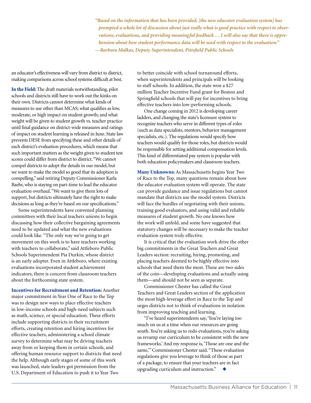*"Based on the information that has been provided, [the new educator evaluation system] has prompted a whole lot of discussion about just really what is good practice with respect to observations, evaluations, and providing meaningful feedback … I will also say that there is apprehension about how student performance data will be used with respect to the evaluation." —Barbara Malkas, Deputy Superintendent, Pittsfield Public Schools*

an educator's effectiveness will vary from district to district, making comparisons across school systems difficult at best.

In the Field: The draft materials notwithstanding, pilot schools and districts still have to work out the kinks on their own. Districts cannot determine what kinds of measures to use other than MCAS; what qualifies as low, moderate, or high impact on student growth; and what weight will be given to student growth vs. teacher practice until final guidance on district-wide measures and ratings of impact on student learning is released in June. State law prevents DESE from specifying these and other details of each district's evaluation procedures, which means that such important matters as the weight given to student test scores could differ from district to district. "We cannot compel districts to adopt the details in our model, but we want to make the model so good that its adoption is compelling," said retiring Deputy Commissioner Karla Baehr, who is staying on part-time to lead the educator evaluation overhaul. "We want to give them lots of support, but districts ultimately have the right to make decisions as long as they're based on our specifications."

Some superintendents have convened planning committees with their local teachers unions to begin discussing how their collective bargaining agreements need to be updated and what the new evaluations could look like. "The only way we're going to get movement on this work is to have teachers working with teachers to collaborate," said Attleboro Public Schools Superintendent Pia Durkin, whose district is an early adopter. Even in Attleboro, where existing evaluations incorporated student achievement indicators, there is concern from classroom teachers about the forthcoming state system.

Incentives for Recruitment and Retention: Another major commitment in Year One of Race to the Top was to design new ways to place effective teachers in low-income schools and high-need subjects such as math, science, or special education. These efforts include supporting districts in their recruitment efforts, creating retention and hiring incentives for effective teachers, administering a school climate survey to determine what may be driving teachers away from or keeping them in certain schools, and offering human resource support to districts that need the help. Although early stages of some of this work was launched, state leaders got permission from the U.S. Department of Education to push it to Year Two

to better coincide with school turnaround efforts, when superintendents and principals will be looking to staff schools. In addition, the state won a \$27 million Teacher Incentive Fund grant for Boston and Springfield schools that will pay for incentives to bring effective teachers into low-performing schools.

One change coming in 2012 is developing career ladders, and changing the state's licensure system to recognize teachers who serve in different types of roles (such as data specialists, mentors, behavior management specialists, etc.). The regulations would specify how teachers would qualify for those roles, but districts would be responsible for setting additional compensation levels. This kind of differentiated pay system is popular with both education policymakers and classroom teachers.

Many Unknowns: As Massachusetts begins Year Two of Race to the Top, many questions remain about how the educator evaluation system will operate. The state can provide guidance and issue regulations but cannot mandate that districts use the model system. Districts will face the hurdles of negotiating with their unions, training good evaluators, and using valid and reliable measures of student growth. No one knows how the work will unfold, and some have suggested that statutory changes will be necessary to make the teacher evaluation system truly effective.

It is critical that the evaluation work drive the other big commitments in the Great Teachers and Great Leaders section: recruiting, hiring, promoting, and placing teachers deemed to be highly effective into schools that need them the most. These are two sides of the coin—developing evaluations and actually using them—and should not be seen as separate.

Commissioner Chester has called the Great Teachers and Great Leaders section of the application the most high-leverage effort in Race to the Top and urges districts not to think of evaluations in isolation from improving teaching and learning.

"I've heard superintendents say, 'You're laying too much on us at a time when our resources are going south. You're asking us to redo evaluations, you're asking us revamp our curriculum to be consistent with the new frameworks.' And my response is, 'Those are one and the same,'" Commissioner Chester said. "These evaluation regulations give you leverage to think of those as part of a package, to ensure that your teachers are in fact upgrading curriculum and instruction." u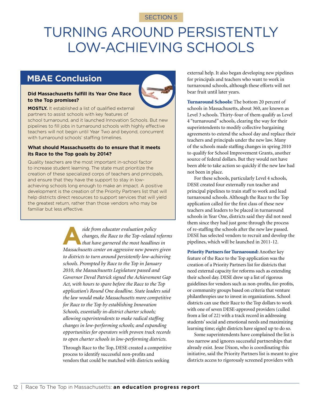# TURNING AROUND PERSISTENTLY LOW-ACHIEVING SCHOOLS

### **MBAE Conclusion**

### **Did Massachusetts fulfill its Year One Race to the Top promises?**



**MOSTLY.** It established a list of qualified external partners to assist schools with key features of school turnaround, and it launched Innovation Schools. But new pipelines to fill jobs in turnaround schools with highly effective teachers will not begin until Year Two and beyond, concurrent with turnaround schools' staffing timelines.

### **What should Massachusetts do to ensure that it meets its Race to the Top goals by 2014?**

Quality teachers are the most important in-school factor to increase student learning. The state must prioritize the creation of these specialized corps of teachers and principals, and ensure that they have the support to stay in lowachieving schools long enough to make an impact. A positive development is the creation of the Priority Partners list that will help districts direct resources to support services that will yield the greatest return, rather than those vendors who may be familiar but less effective.

> **A**<br>*side from educator evaluation policy changes, the Race to the Top-related refor that have garnered the most headlines in changes, the Race to the Top-related reforms Massachusetts center on aggressive new powers given to districts to turn around persistently low-achieving schools. Prompted by Race to the Top in January 2010, the Massachusetts Legislature passed and Governor Deval Patrick signed the Achievement Gap Act, with hours to spare before the Race to the Top application's Round One deadline. State leaders said the law would make Massachusetts more competitive for Race to the Top by establishing Innovation Schools, essentially in-district charter schools; allowing superintendents to make radical staffing changes in low-performing schools; and expanding opportunities for operators with proven track records to open charter schools in low-performing districts.*

Through Race to the Top, DESE created a competitive process to identify successful non-profits and vendors that could be matched with districts seeking

external help. It also began developing new pipelines for principals and teachers who want to work in turnaround schools, although these efforts will not bear fruit until later years.

Turnaround Schools: The bottom 20 percent of schools in Massachusetts, about 360, are known as Level 3 schools. Thirty-four of them qualify as Level 4 "turnaround" schools, clearing the way for their superintendents to modify collective bargaining agreements to extend the school day and replace their teachers and principals under the new law. Many of the schools made staffing changes in spring 2010 to qualify for School Improvement Grants, another source of federal dollars. But they would not have been able to take action so quickly if the new law had not been in place.

For these schools, particularly Level 4 schools, DESE created four externally run teacher and principal pipelines to train staff to work and lead turnaround schools. Although the Race to the Top application called for the first class of these new teachers and leaders to be placed in turnaround schools in Year One, districts said they did not need them since they had just gone through the process of re-staffing the schools after the new law passed. DESE has selected vendors to recruit and develop the pipelines, which will be launched in 2011-12.

Priority Partners for Turnaround: Another key feature of the Race to the Top application was the creation of a Priority Partners list for districts that need external capacity for reforms such as extending their school day. DESE drew up a list of rigorous guidelines for vendors such as non-profits, for-profits, or community groups based on criteria that venture philanthropies use to invest in organizations. School districts can use their Race to the Top dollars to work with one of seven DESE-approved providers (culled from a list of 22) with a track record in addressing students' social and emotional needs and maximizing learning time; eight districts have signed up to do so.

Some superintendents have complained the list is too narrow and ignores successful partnerships that already exist. Jesse Dixon, who is coordinating this initiative, said the Priority Partners list is meant to give districts access to rigorously screened providers with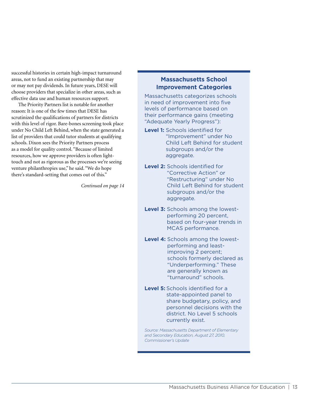successful histories in certain high-impact turnaround areas, not to fund an existing partnership that may or may not pay dividends. In future years, DESE will choose providers that specialize in other areas, such as effective data use and human resources support.

The Priority Partners list is notable for another reason: It is one of the few times that DESE has scrutinized the qualifications of partners for districts with this level of rigor. Bare-bones screening took place under No Child Left Behind, when the state generated a list of providers that could tutor students at qualifying schools. Dixon sees the Priority Partners process as a model for quality control. "Because of limited resources, how we approve providers is often lighttouch and not as rigorous as the processes we're seeing venture philanthropies use," he said. "We do hope there's standard-setting that comes out of this."

*Continued on page 14*

### **Massachusetts School Improvement Categories**

Massachusetts categorizes schools in need of improvement into five levels of performance based on their performance gains (meeting "Adequate Yearly Progress"):

- **Level 1:** Schools identified for "Improvement" under No Child Left Behind for student subgroups and/or the aggregate.
- **Level 2:** Schools identified for "Corrective Action" or "Restructuring" under No Child Left Behind for student subgroups and/or the aggregate.
- **Level 3:** Schools among the lowestperforming 20 percent, based on four-year trends in MCAS performance.
- **Level 4:** Schools among the lowestperforming and leastimproving 2 percent; schools formerly declared as "Underperforming." These are generally known as "turnaround" schools.
- **Level 5:** Schools identified for a state-appointed panel to share budgetary, policy, and personnel decisions with the district. No Level 5 schools currently exist.

*Source: Massachusetts Department of Elementary and Secondary Education, August 27, 2010, Commissioner's Update*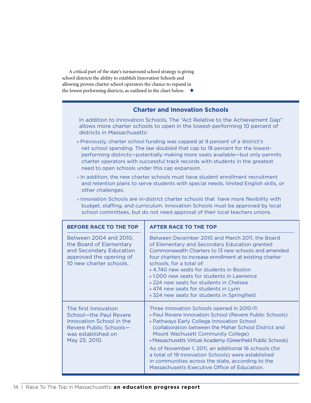A critical part of the state's turnaround school strategy is giving school districts the ability to establish Innovation Schools and allowing proven charter school operators the chance to expand in the lowest performing districts, as outlined in the chart below.

### **Charter and Innovation Schools**

In addition to Innovation Schools, The "Act Relative to the Achievement Gap" allows more charter schools to open in the lowest-performing 10 percent of districts in Massachusetts:

- » Previously, charter school funding was capped at 9 percent of a district's net school spending. The law doubled that cap to 18 percent for the lowestperforming districts—potentially making more seats available—but only permits charter operators with successful track records with students in the greatest need to open schools under this cap expansion.
- » In addition, the new charter schools must have student enrollment recruitment and retention plans to serve students with special needs, limited English skills, or other challenges.
- » Innovation Schools are in-district charter schools that have more flexibility with budget, staffing, and curriculum. Innovation Schools must be approved by local school committees, but do not need approval of their local teachers unions.

| <b>BEFORE RACE TO THE TOP</b>                                                                                                               | <b>AFTER RACE TO THE TOP</b>                                                                                                                                                                                                                                                                                                                                                                                                                                                                                                          |
|---------------------------------------------------------------------------------------------------------------------------------------------|---------------------------------------------------------------------------------------------------------------------------------------------------------------------------------------------------------------------------------------------------------------------------------------------------------------------------------------------------------------------------------------------------------------------------------------------------------------------------------------------------------------------------------------|
| Between 2004 and 2010,<br>the Board of Elementary<br>and Secondary Education<br>approved the opening of<br>10 new charter schools.          | Between December 2010 and March 2011, the Board<br>of Elementary and Secondary Education granted<br>Commonwealth Charters to 13 new schools and amended<br>four charters to increase enrollment at existing charter<br>schools, for a total of:<br>» 4,740 new seats for students in Boston<br>» 1,000 new seats for students in Lawrence<br>» 224 new seats for students in Chelsea<br>» 474 new seats for students in Lynn<br>» 324 new seats for students in Springfield                                                           |
| The first Innovation<br>School-the Paul Revere<br>Innovation School in the<br>Revere Public Schools-<br>was established on<br>May 25, 2010. | Three Innovation Schools opened in 2010-11:<br>» Paul Revere Innovation School (Revere Public Schools)<br>» Pathways Early College Innovation School<br>(collaboration between the Mahar School District and<br>Mount Wachusett Community College)<br>» Massachusetts Virtual Academy (Greenfield Public Schools)<br>As of November 1, 2011, an additional 16 schools (for<br>a total of 19 Innovation Schools) were established<br>in communities across the state, according to the<br>Massachusetts Executive Office of Education. |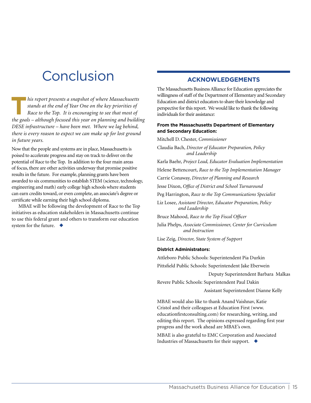### **Conclusion**

**T** *his report presents a snapshot of where Massachusetts stands at the end of Year One on the key priorities of Race to the Top. It is encouraging to see that most of stands at the end of Year One on the key priorities of Race to the Top. It is encouraging to see that most of the goals – although focused this year on planning and building DESE infrastructure – have been met. Where we lag behind, there is every reason to expect we can make up for lost ground in future years.*

Now that the people and systems are in place, Massachusetts is poised to accelerate progress and stay on track to deliver on the potential of Race to the Top. In addition to the four main areas of focus, there are other activities underway that promise positive results in the future. For example, planning grants have been awarded to six communities to establish STEM (science, technology, engineering and math) early college high schools where students can earn credits toward, or even complete, an associate's degree or certificate while earning their high school diploma.

MBAE will be following the development of Race to the Top initiatives as education stakeholders in Massachusetts continue to use this federal grant and others to transform our education system for the future.  $\blacklozenge$ 

### **ACKNOWLEDGEMENTS**

The Massachusetts Business Alliance for Education appreciates the willingness of staff of the Department of Elementary and Secondary Education and district educators to share their knowledge and perspective for this report. We would like to thank the following individuals for their assistance:

### **From the Massachusetts Department of Elementary and Secondary Education:**

Mitchell D. Chester, *Commissioner* 

Claudia Bach, *Director of Educator Preparation, Policy and Leadership*

Karla Baehr, *Project Lead, Educator Evaluation Implementation*

Helene Bettencourt, *Race to the Top Implementation Manager*

Carrie Conaway, *Director of Planning and Research*

Jesse Dixon, *Office of District and School Turnaround*

Peg Harrington, *Race to the Top Communications Specialist*

Liz Losee, *Assistant Director, Educator Preparation, Policy and Leadership*

Bruce Mahood, *Race to the Top Fiscal Officer*

Julia Phelps, *Associate Commissioner, Center for Curriculum and Instruction*

Lise Zeig, *Director, State System of Support*

#### **District Administrators:**

Attleboro Public Schools: Superintendent Pia Durkin Pittsfield Public Schools: Superintendent Jake Eberwein

Deputy Superintendent Barbara Malkas

Revere Public Schools: Superintendent Paul Dakin

Assistant Superintendent Dianne Kelly

MBAE would also like to thank Anand Vaishnav, Katie Cristol and their colleagues at Education First (www. educationfirstconsulting.com) for researching, writing, and editing this report. The opinions expressed regarding first year progress and the work ahead are MBAE's own.

MBAE is also grateful to EMC Corporation and Associated Industries of Massachusetts for their support.  $\blacklozenge$